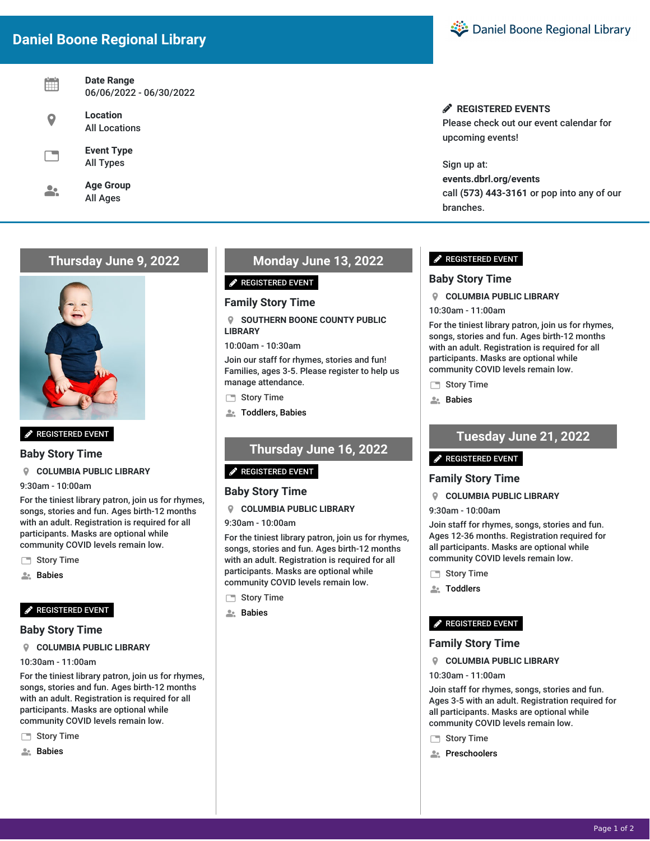# **Daniel Boone Regional Library**

| Date Range<br>06/06/2022 - 06/30/2022 |
|---------------------------------------|
| Location<br><b>All Locations</b>      |
| <b>Event Type</b><br><b>All Types</b> |
| <b>Age Group</b><br>All Ages          |

# **Thursday June 9, 2022**



**P** REGISTERED EVENT

**Baby Story Time**

### **COLUMBIA PUBLIC LIBRARY**

9:30am - 10:00am

For the tiniest library patron, join us for rhymes, songs, stories and fun. Ages birth-12 months with an adult. Registration is required for all participants. Masks are optional while community COVID levels remain low.

Story Time

**A.** Babies

### **P** REGISTERED EVENT

### **Baby Story Time**

**COLUMBIA PUBLIC LIBRARY**

10:30am - 11:00am

For the tiniest library patron, join us for rhymes, songs, stories and fun. Ages birth-12 months with an adult. Registration is required for all participants. Masks are optional while community COVID levels remain low.

- Story Time
- Babies

# **Monday June 13, 2022**

#### REGISTERED EVENT

### **Family Story Time**

 **SOUTHERN BOONE COUNTY PUBLIC LIBRARY**

10:00am - 10:30am

Join our staff for rhymes, stories and fun! Families, ages 3-5. Please register to help us manage attendance.

Story Time

**A.** Toddlers, Babies

# **Thursday June 16, 2022**

#### **P** REGISTERED EVENT

### **Baby Story Time**

#### **COLUMBIA PUBLIC LIBRARY**

9:30am - 10:00am

For the tiniest library patron, join us for rhymes, songs, stories and fun. Ages birth-12 months with an adult. Registration is required for all participants. Masks are optional while community COVID levels remain low.

- Story Time
- **A**: Babies



## **REGISTERED EVENTS**

Please check out our event calendar for upcoming events!

Sign up at: **events.dbrl.org/events** call **(573) 443-3161** or pop into any of our branches.

### **P** REGISTERED EVENT

### **Baby Story Time**

**COLUMBIA PUBLIC LIBRARY**

10:30am - 11:00am

For the tiniest library patron, join us for rhymes, songs, stories and fun. Ages birth-12 months with an adult. Registration is required for all participants. Masks are optional while community COVID levels remain low.

Story Time

Babies

# **Tuesday June 21, 2022**

#### REGISTERED EVENT

### **Family Story Time**

**COLUMBIA PUBLIC LIBRARY**

#### 9:30am - 10:00am

Join staff for rhymes, songs, stories and fun. Ages 12-36 months. Registration required for all participants. Masks are optional while community COVID levels remain low.

- Story Time
- **A: Toddlers**

### REGISTERED EVENT

### **Family Story Time**

**COLUMBIA PUBLIC LIBRARY**

#### 10:30am - 11:00am

Join staff for rhymes, songs, stories and fun. Ages 3-5 with an adult. Registration required for all participants. Masks are optional while community COVID levels remain low.

- Story Time
- **Preschoolers**